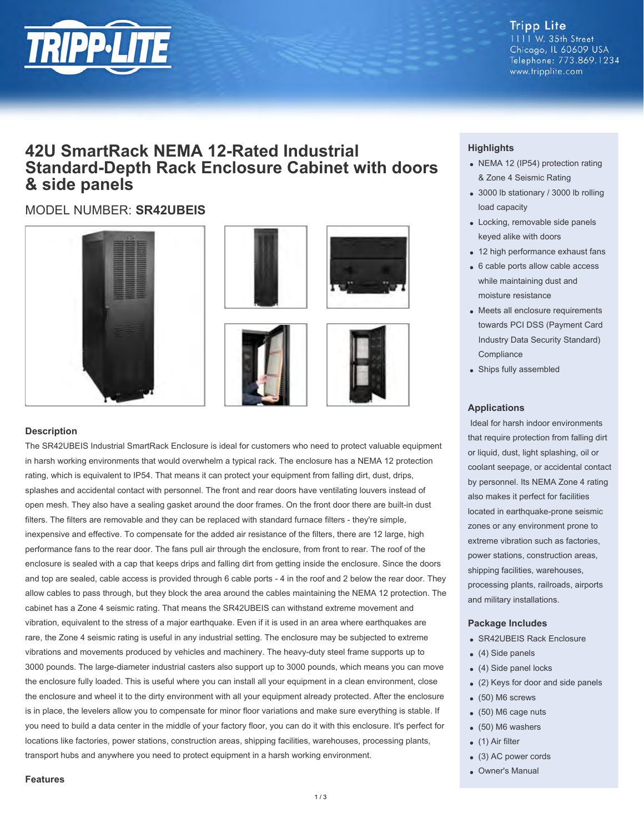

### **Tripp Lite** 1111 W. 35th Street Chicago, IL 60609 USA Telephone: 773.869.1234 www.tripplite.com

# **42U SmartRack NEMA 12-Rated Industrial Standard-Depth Rack Enclosure Cabinet with doors & side panels**

# MODEL NUMBER: **SR42UBEIS**









## **Description**

The SR42UBEIS Industrial SmartRack Enclosure is ideal for customers who need to protect valuable equipment in harsh working environments that would overwhelm a typical rack. The enclosure has a NEMA 12 protection rating, which is equivalent to IP54. That means it can protect your equipment from falling dirt, dust, drips, splashes and accidental contact with personnel. The front and rear doors have ventilating louvers instead of open mesh. They also have a sealing gasket around the door frames. On the front door there are built-in dust filters. The filters are removable and they can be replaced with standard furnace filters - they're simple, inexpensive and effective. To compensate for the added air resistance of the filters, there are 12 large, high performance fans to the rear door. The fans pull air through the enclosure, from front to rear. The roof of the enclosure is sealed with a cap that keeps drips and falling dirt from getting inside the enclosure. Since the doors and top are sealed, cable access is provided through 6 cable ports - 4 in the roof and 2 below the rear door. They allow cables to pass through, but they block the area around the cables maintaining the NEMA 12 protection. The cabinet has a Zone 4 seismic rating. That means the SR42UBEIS can withstand extreme movement and vibration, equivalent to the stress of a major earthquake. Even if it is used in an area where earthquakes are rare, the Zone 4 seismic rating is useful in any industrial setting. The enclosure may be subjected to extreme vibrations and movements produced by vehicles and machinery. The heavy-duty steel frame supports up to 3000 pounds. The large-diameter industrial casters also support up to 3000 pounds, which means you can move the enclosure fully loaded. This is useful where you can install all your equipment in a clean environment, close the enclosure and wheel it to the dirty environment with all your equipment already protected. After the enclosure is in place, the levelers allow you to compensate for minor floor variations and make sure everything is stable. If you need to build a data center in the middle of your factory floor, you can do it with this enclosure. It's perfect for locations like factories, power stations, construction areas, shipping facilities, warehouses, processing plants, transport hubs and anywhere you need to protect equipment in a harsh working environment.

# **Highlights**

- NEMA 12 (IP54) protection rating & Zone 4 Seismic Rating
- 3000 lb stationary / 3000 lb rolling load capacity
- Locking, removable side panels keyed alike with doors
- 12 high performance exhaust fans
- 6 cable ports allow cable access while maintaining dust and moisture resistance
- Meets all enclosure requirements towards PCI DSS (Payment Card Industry Data Security Standard) **Compliance**
- Ships fully assembled

### **Applications**

 Ideal for harsh indoor environments that require protection from falling dirt or liquid, dust, light splashing, oil or coolant seepage, or accidental contact by personnel. Its NEMA Zone 4 rating also makes it perfect for facilities located in earthquake-prone seismic zones or any environment prone to extreme vibration such as factories, power stations, construction areas, shipping facilities, warehouses, processing plants, railroads, airports and military installations.

### **Package Includes**

- SR42UBEIS Rack Enclosure
- (4) Side panels
- (4) Side panel locks
- (2) Keys for door and side panels
- (50) M6 screws
- (50) M6 cage nuts
- (50) M6 washers
- (1) Air filter
- (3) AC power cords
- Owner's Manual

#### **Features**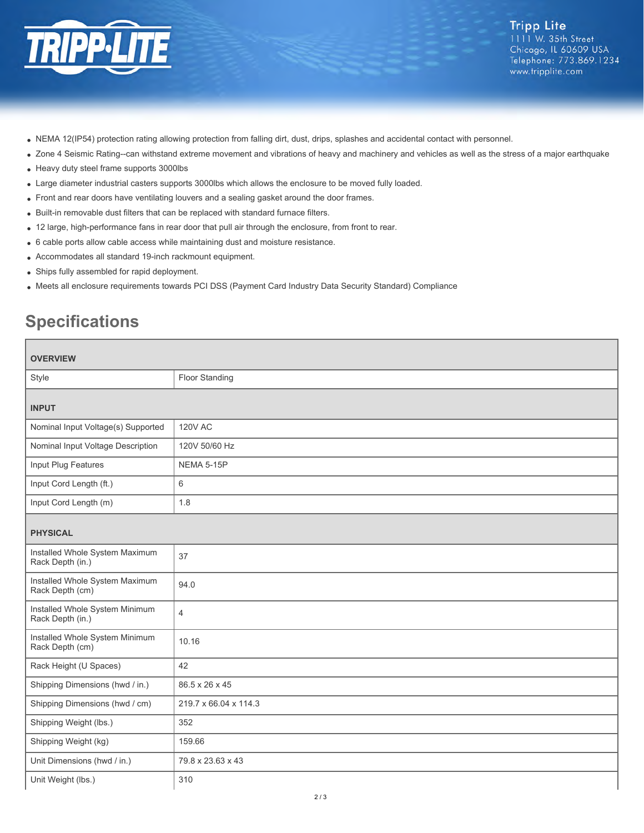

- NEMA 12(IP54) protection rating allowing protection from falling dirt, dust, drips, splashes and accidental contact with personnel.
- Zone 4 Seismic Rating--can withstand extreme movement and vibrations of heavy and machinery and vehicles as well as the stress of a major earthquake
- Heavy duty steel frame supports 3000lbs
- Large diameter industrial casters supports 3000lbs which allows the enclosure to be moved fully loaded.
- Front and rear doors have ventilating louvers and a sealing gasket around the door frames.
- Built-in removable dust filters that can be replaced with standard furnace filters.
- 12 large, high-performance fans in rear door that pull air through the enclosure, from front to rear.
- 6 cable ports allow cable access while maintaining dust and moisture resistance.
- Accommodates all standard 19-inch rackmount equipment.
- Ships fully assembled for rapid deployment.
- Meets all enclosure requirements towards PCI DSS (Payment Card Industry Data Security Standard) Compliance

# **Specifications**

| <b>OVERVIEW</b>                                    |                       |
|----------------------------------------------------|-----------------------|
| Style                                              | Floor Standing        |
| <b>INPUT</b>                                       |                       |
| Nominal Input Voltage(s) Supported                 | <b>120V AC</b>        |
| Nominal Input Voltage Description                  | 120V 50/60 Hz         |
| Input Plug Features                                | <b>NEMA 5-15P</b>     |
| Input Cord Length (ft.)                            | 6                     |
| Input Cord Length (m)                              | 1.8                   |
| <b>PHYSICAL</b>                                    |                       |
| Installed Whole System Maximum<br>Rack Depth (in.) | 37                    |
| Installed Whole System Maximum<br>Rack Depth (cm)  | 94.0                  |
| Installed Whole System Minimum<br>Rack Depth (in.) | 4                     |
| Installed Whole System Minimum<br>Rack Depth (cm)  | 10.16                 |
| Rack Height (U Spaces)                             | 42                    |
| Shipping Dimensions (hwd / in.)                    | 86.5 x 26 x 45        |
| Shipping Dimensions (hwd / cm)                     | 219.7 x 66.04 x 114.3 |
| Shipping Weight (lbs.)                             | 352                   |
| Shipping Weight (kg)                               | 159.66                |
| Unit Dimensions (hwd / in.)                        | 79.8 x 23.63 x 43     |
| Unit Weight (lbs.)                                 | 310                   |